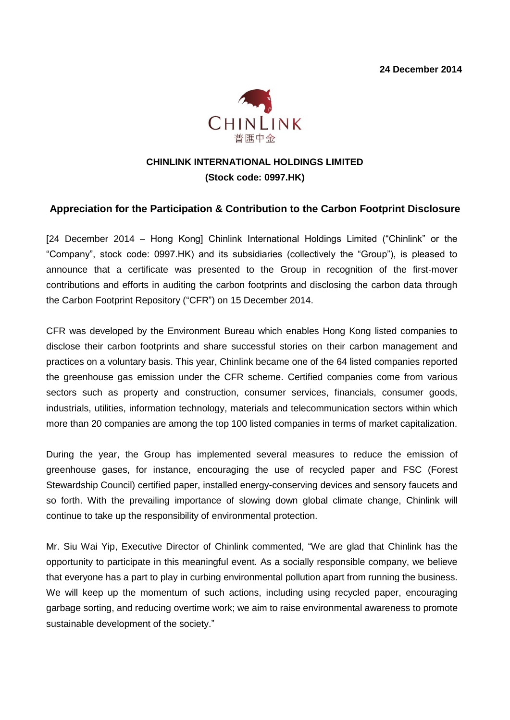

# **CHINLINK INTERNATIONAL HOLDINGS LIMITED (Stock code: 0997.HK)**

#### **Appreciation for the Participation & Contribution to the Carbon Footprint Disclosure**

[24 December 2014 – Hong Kong] Chinlink International Holdings Limited ("Chinlink" or the "Company", stock code: 0997.HK) and its subsidiaries (collectively the "Group"), is pleased to announce that a certificate was presented to the Group in recognition of the first-mover contributions and efforts in auditing the carbon footprints and disclosing the carbon data through the Carbon Footprint Repository ("CFR") on 15 December 2014.

CFR was developed by the Environment Bureau which enables Hong Kong listed companies to disclose their carbon footprints and share successful stories on their carbon management and practices on a voluntary basis. This year, Chinlink became one of the 64 listed companies reported the greenhouse gas emission under the CFR scheme. Certified companies come from various sectors such as property and construction, consumer services, financials, consumer goods, industrials, utilities, information technology, materials and telecommunication sectors within which more than 20 companies are among the top 100 listed companies in terms of market capitalization.

During the year, the Group has implemented several measures to reduce the emission of greenhouse gases, for instance, encouraging the use of recycled paper and FSC (Forest Stewardship Council) certified paper, installed energy-conserving devices and sensory faucets and so forth. With the prevailing importance of slowing down global climate change, Chinlink will continue to take up the responsibility of environmental protection.

Mr. Siu Wai Yip, Executive Director of Chinlink commented, "We are glad that Chinlink has the opportunity to participate in this meaningful event. As a socially responsible company, we believe that everyone has a part to play in curbing environmental pollution apart from running the business. We will keep up the momentum of such actions, including using recycled paper, encouraging garbage sorting, and reducing overtime work; we aim to raise environmental awareness to promote sustainable development of the society."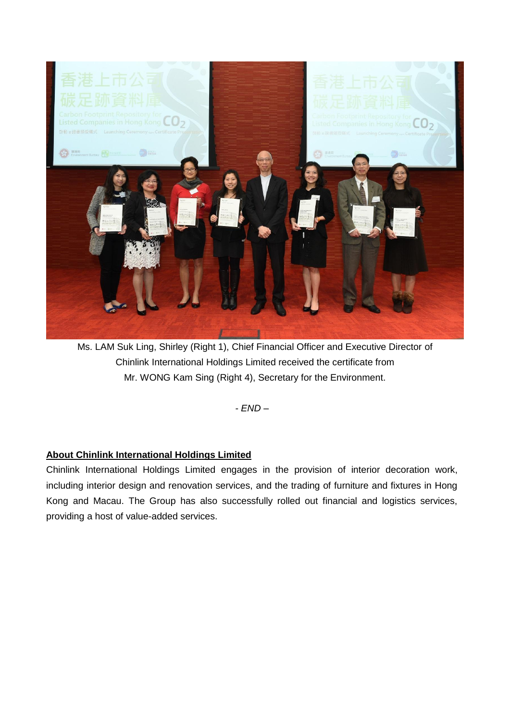

Ms. LAM Suk Ling, Shirley (Right 1), Chief Financial Officer and Executive Director of Chinlink International Holdings Limited received the certificate from Mr. WONG Kam Sing (Right 4), Secretary for the Environment.

*- END –*

### **About Chinlink International Holdings Limited**

Chinlink International Holdings Limited engages in the provision of interior decoration work, including interior design and renovation services, and the trading of furniture and fixtures in Hong Kong and Macau. The Group has also successfully rolled out financial and logistics services, providing a host of value-added services.